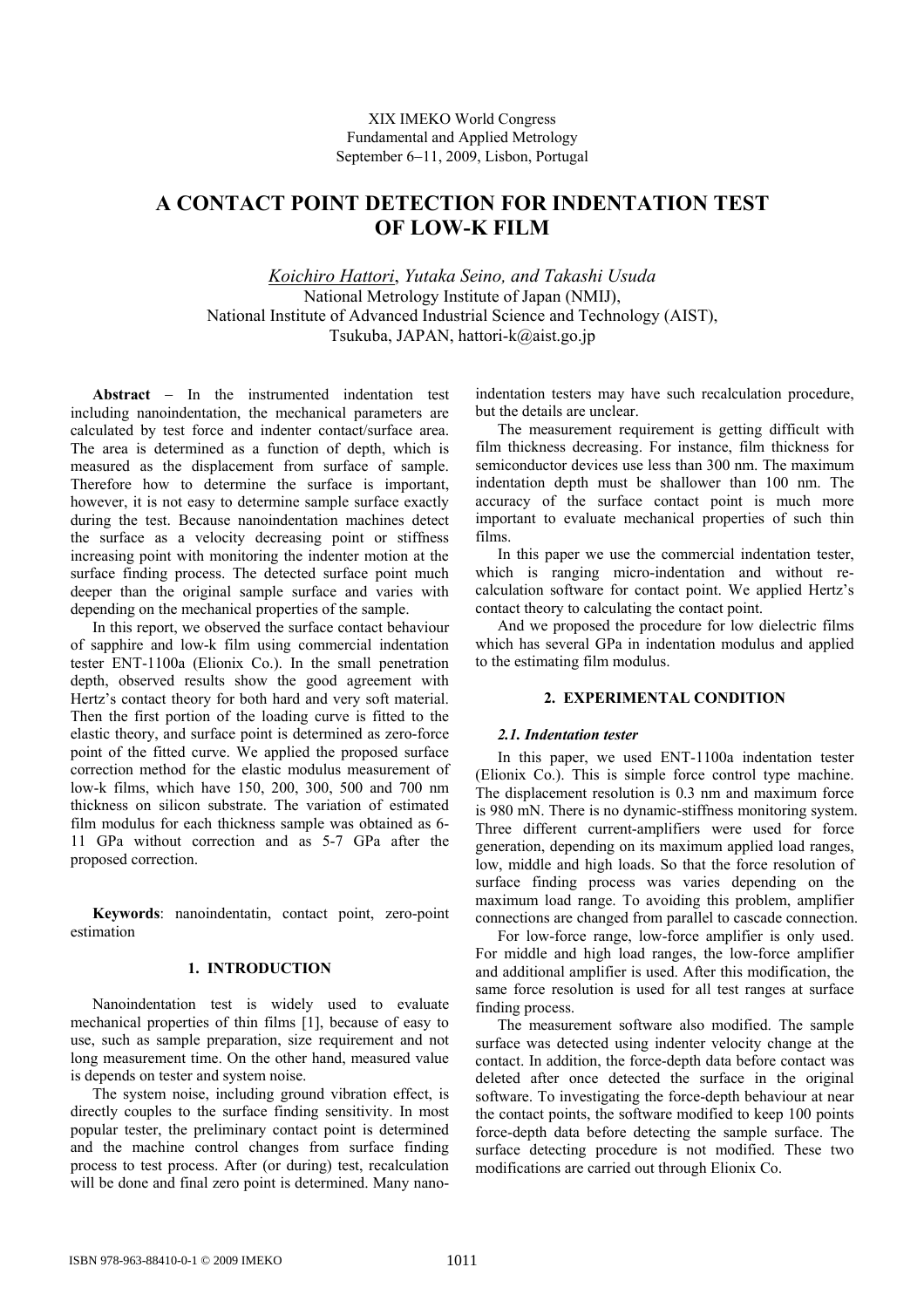# **A CONTACT POINT DETECTION FOR INDENTATION TEST OF LOW-K FILM**

*Koichiro Hattori*, *Yutaka Seino, and Takashi Usuda*  National Metrology Institute of Japan (NMIJ), National Institute of Advanced Industrial Science and Technology (AIST), Tsukuba, JAPAN, hattori-k@aist.go.jp

**Abstract** − In the instrumented indentation test including nanoindentation, the mechanical parameters are calculated by test force and indenter contact/surface area. The area is determined as a function of depth, which is measured as the displacement from surface of sample. Therefore how to determine the surface is important, however, it is not easy to determine sample surface exactly during the test. Because nanoindentation machines detect the surface as a velocity decreasing point or stiffness increasing point with monitoring the indenter motion at the surface finding process. The detected surface point much deeper than the original sample surface and varies with depending on the mechanical properties of the sample.

In this report, we observed the surface contact behaviour of sapphire and low-k film using commercial indentation tester ENT-1100a (Elionix Co.). In the small penetration depth, observed results show the good agreement with Hertz's contact theory for both hard and very soft material. Then the first portion of the loading curve is fitted to the elastic theory, and surface point is determined as zero-force point of the fitted curve. We applied the proposed surface correction method for the elastic modulus measurement of low-k films, which have 150, 200, 300, 500 and 700 nm thickness on silicon substrate. The variation of estimated film modulus for each thickness sample was obtained as 6- 11 GPa without correction and as 5-7 GPa after the proposed correction.

**Keywords**: nanoindentatin, contact point, zero-point estimation

# **1. INTRODUCTION**

Nanoindentation test is widely used to evaluate mechanical properties of thin films [1], because of easy to use, such as sample preparation, size requirement and not long measurement time. On the other hand, measured value is depends on tester and system noise.

The system noise, including ground vibration effect, is directly couples to the surface finding sensitivity. In most popular tester, the preliminary contact point is determined and the machine control changes from surface finding process to test process. After (or during) test, recalculation will be done and final zero point is determined. Many nanoindentation testers may have such recalculation procedure, but the details are unclear.

The measurement requirement is getting difficult with film thickness decreasing. For instance, film thickness for semiconductor devices use less than 300 nm. The maximum indentation depth must be shallower than 100 nm. The accuracy of the surface contact point is much more important to evaluate mechanical properties of such thin films.

In this paper we use the commercial indentation tester, which is ranging micro-indentation and without recalculation software for contact point. We applied Hertz's contact theory to calculating the contact point.

And we proposed the procedure for low dielectric films which has several GPa in indentation modulus and applied to the estimating film modulus.

# **2. EXPERIMENTAL CONDITION**

# *2.1. Indentation tester*

In this paper, we used ENT-1100a indentation tester (Elionix Co.). This is simple force control type machine. The displacement resolution is 0.3 nm and maximum force is 980 mN. There is no dynamic-stiffness monitoring system. Three different current-amplifiers were used for force generation, depending on its maximum applied load ranges, low, middle and high loads. So that the force resolution of surface finding process was varies depending on the maximum load range. To avoiding this problem, amplifier connections are changed from parallel to cascade connection.

For low-force range, low-force amplifier is only used. For middle and high load ranges, the low-force amplifier and additional amplifier is used. After this modification, the same force resolution is used for all test ranges at surface finding process.

The measurement software also modified. The sample surface was detected using indenter velocity change at the contact. In addition, the force-depth data before contact was deleted after once detected the surface in the original software. To investigating the force-depth behaviour at near the contact points, the software modified to keep 100 points force-depth data before detecting the sample surface. The surface detecting procedure is not modified. These two modifications are carried out through Elionix Co.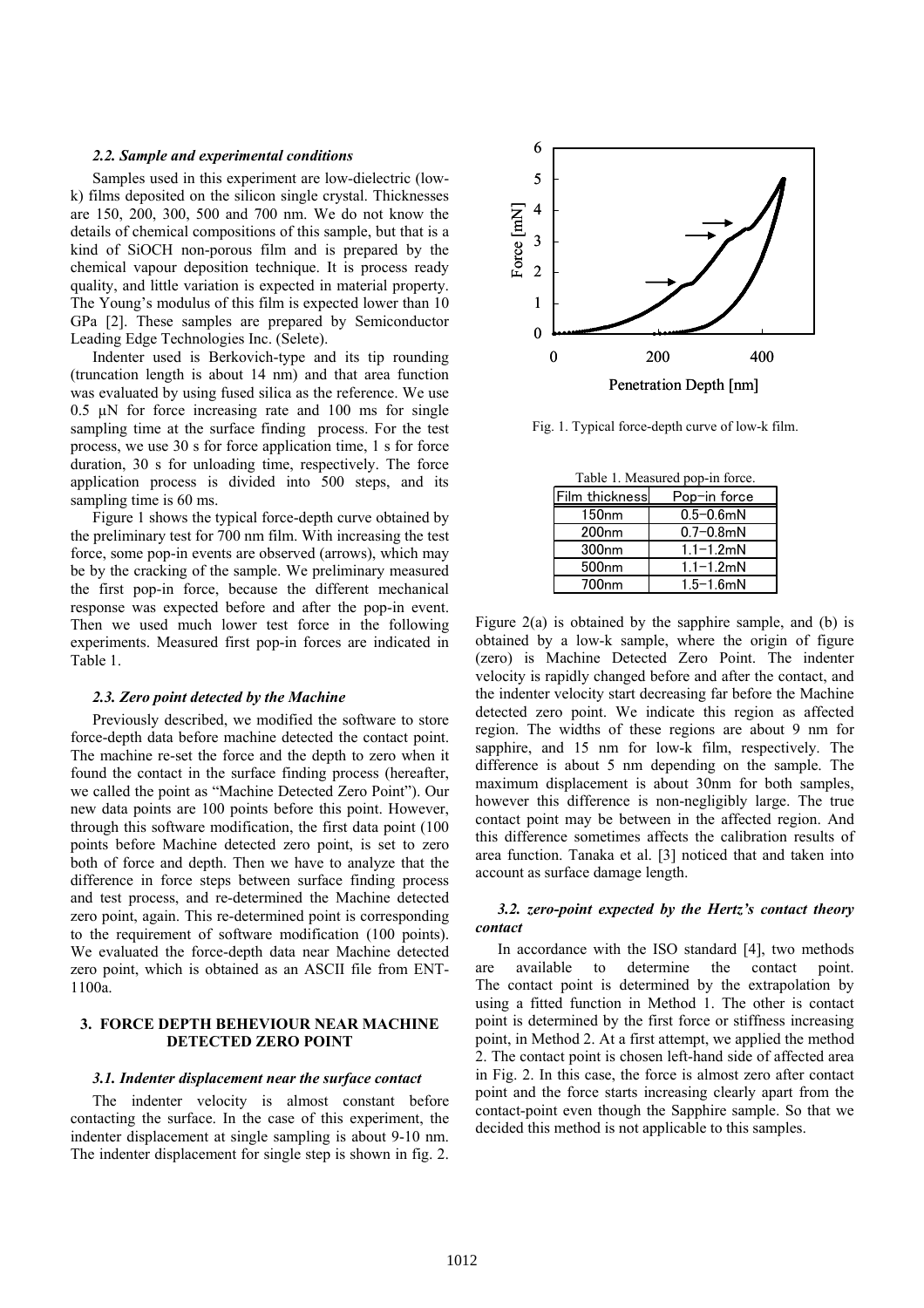#### *2.2. Sample and experimental conditions*

Samples used in this experiment are low-dielectric (lowk) films deposited on the silicon single crystal. Thicknesses are 150, 200, 300, 500 and 700 nm. We do not know the details of chemical compositions of this sample, but that is a kind of SiOCH non-porous film and is prepared by the chemical vapour deposition technique. It is process ready quality, and little variation is expected in material property. The Young's modulus of this film is expected lower than 10 GPa [2]. These samples are prepared by Semiconductor Leading Edge Technologies Inc. (Selete).

Indenter used is Berkovich-type and its tip rounding (truncation length is about 14 nm) and that area function was evaluated by using fused silica as the reference. We use  $0.5 \mu$ N for force increasing rate and 100 ms for single sampling time at the surface finding process. For the test process, we use 30 s for force application time, 1 s for force duration, 30 s for unloading time, respectively. The force application process is divided into 500 steps, and its sampling time is 60 ms.

Figure 1 shows the typical force-depth curve obtained by the preliminary test for 700 nm film. With increasing the test force, some pop-in events are observed (arrows), which may be by the cracking of the sample. We preliminary measured the first pop-in force, because the different mechanical response was expected before and after the pop-in event. Then we used much lower test force in the following experiments. Measured first pop-in forces are indicated in Table 1.

#### *2.3. Zero point detected by the Machine*

Previously described, we modified the software to store force-depth data before machine detected the contact point. The machine re-set the force and the depth to zero when it found the contact in the surface finding process (hereafter, we called the point as "Machine Detected Zero Point"). Our new data points are 100 points before this point. However, through this software modification, the first data point (100 points before Machine detected zero point, is set to zero both of force and depth. Then we have to analyze that the difference in force steps between surface finding process and test process, and re-determined the Machine detected zero point, again. This re-determined point is corresponding to the requirement of software modification (100 points). We evaluated the force-depth data near Machine detected zero point, which is obtained as an ASCII file from ENT-1100a.

### **3. FORCE DEPTH BEHEVIOUR NEAR MACHINE DETECTED ZERO POINT**

#### *3.1. Indenter displacement near the surface contact*

The indenter velocity is almost constant before contacting the surface. In the case of this experiment, the indenter displacement at single sampling is about 9-10 nm. The indenter displacement for single step is shown in fig. 2.



Fig. 1. Typical force-depth curve of low-k film.

| Table 1. Measured pop-in force. |                |  |
|---------------------------------|----------------|--|
| Film thickness                  | Pop-in force   |  |
| 150 <sub>nm</sub>               | $0.5 - 0.6$ mN |  |
| 200 <sub>nm</sub>               | $0.7 - 0.8$ mN |  |
| 300 <sub>nm</sub>               | $1.1 - 1.2$ mN |  |
| 500 <sub>nm</sub>               | $1.1 - 1.2$ mN |  |
| 700 <sub>nm</sub>               | $1.5 - 1.6$ mN |  |

Figure 2(a) is obtained by the sapphire sample, and (b) is obtained by a low-k sample, where the origin of figure (zero) is Machine Detected Zero Point. The indenter velocity is rapidly changed before and after the contact, and the indenter velocity start decreasing far before the Machine detected zero point. We indicate this region as affected region. The widths of these regions are about 9 nm for sapphire, and 15 nm for low-k film, respectively. The difference is about 5 nm depending on the sample. The maximum displacement is about 30nm for both samples, however this difference is non-negligibly large. The true contact point may be between in the affected region. And this difference sometimes affects the calibration results of area function. Tanaka et al. [3] noticed that and taken into account as surface damage length.

# *3.2. zero-point expected by the Hertz's contact theory contact*

In accordance with the ISO standard [4], two methods are available to determine the contact point. The contact point is determined by the extrapolation by using a fitted function in Method 1. The other is contact point is determined by the first force or stiffness increasing point, in Method 2. At a first attempt, we applied the method 2. The contact point is chosen left-hand side of affected area in Fig. 2. In this case, the force is almost zero after contact point and the force starts increasing clearly apart from the contact-point even though the Sapphire sample. So that we decided this method is not applicable to this samples.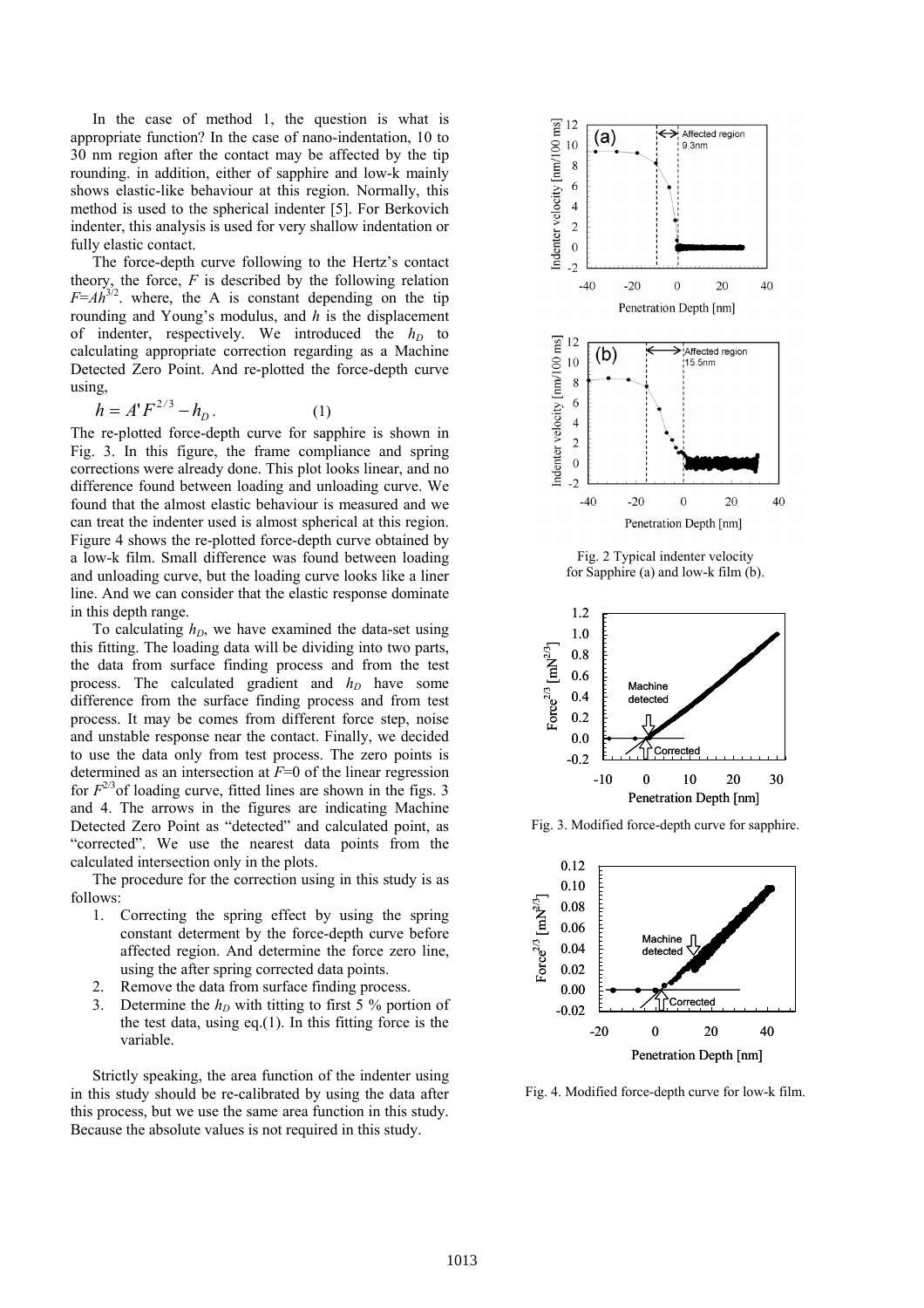In the case of method 1, the question is what is appropriate function? In the case of nano-indentation, 10 to 30 nm region after the contact may be affected by the tip rounding. in addition, either of sapphire and low-k mainly shows elastic-like behaviour at this region. Normally, this method is used to the spherical indenter [5]. For Berkovich indenter, this analysis is used for very shallow indentation or fully elastic contact.

The force-depth curve following to the Hertz's contact theory, the force,  $F$  is described by the following relation  $F=Ah^{3/2}$ . where, the A is constant depending on the tip rounding and Young's modulus, and *h* is the displacement of indenter, respectively. We introduced the  $h_D$  to calculating appropriate correction regarding as a Machine Detected Zero Point. And re-plotted the force-depth curve using,

$$
h = A' F^{2/3} - h_D. \tag{1}
$$

The re-plotted force-depth curve for sapphire is shown in Fig. 3. In this figure, the frame compliance and spring corrections were already done. This plot looks linear, and no difference found between loading and unloading curve. We found that the almost elastic behaviour is measured and we can treat the indenter used is almost spherical at this region. Figure 4 shows the re-plotted force-depth curve obtained by a low-k film. Small difference was found between loading and unloading curve, but the loading curve looks like a liner line. And we can consider that the elastic response dominate in this depth range.

To calculating  $h<sub>D</sub>$ , we have examined the data-set using this fitting. The loading data will be dividing into two parts, the data from surface finding process and from the test process. The calculated gradient and  $h_D$  have some difference from the surface finding process and from test process. It may be comes from different force step, noise and unstable response near the contact. Finally, we decided to use the data only from test process. The zero points is determined as an intersection at *F*=0 of the linear regression for  $F^{2/3}$  of loading curve, fitted lines are shown in the figs. 3 and 4. The arrows in the figures are indicating Machine Detected Zero Point as "detected" and calculated point, as "corrected". We use the nearest data points from the calculated intersection only in the plots.

The procedure for the correction using in this study is as follows:

- 1. Correcting the spring effect by using the spring constant determent by the force-depth curve before affected region. And determine the force zero line, using the after spring corrected data points.
- 2. Remove the data from surface finding process.
- 3. Determine the  $h_D$  with titting to first 5 % portion of the test data, using eq. $(1)$ . In this fitting force is the variable.

Strictly speaking, the area function of the indenter using in this study should be re-calibrated by using the data after this process, but we use the same area function in this study. Because the absolute values is not required in this study.



Fig. 2 Typical indenter velocity for Sapphire (a) and low-k film (b).



Fig. 3. Modified force-depth curve for sapphire.



Fig. 4. Modified force-depth curve for low-k film.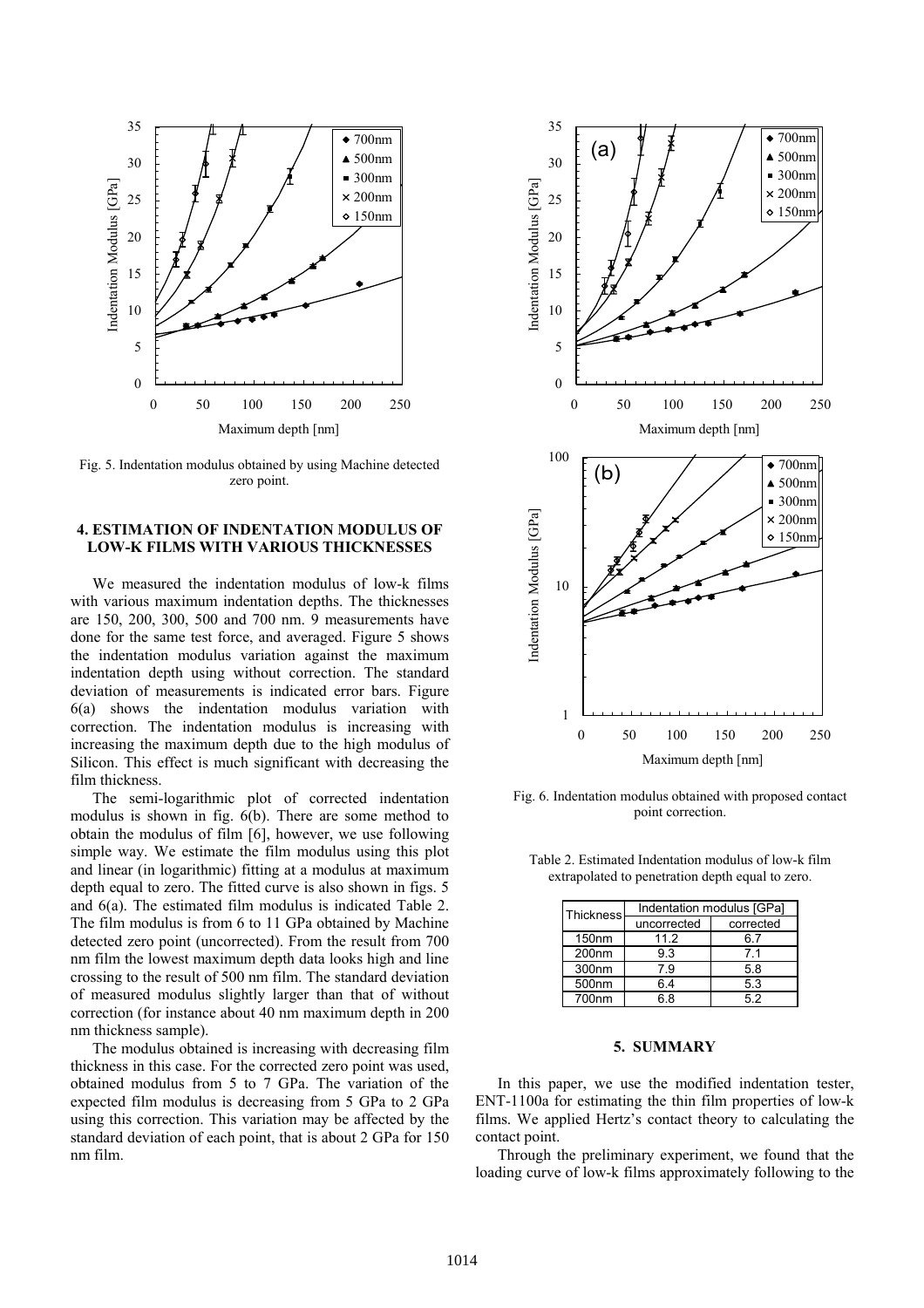

Fig. 5. Indentation modulus obtained by using Machine detected zero point.

# **4. ESTIMATION OF INDENTATION MODULUS OF LOW-K FILMS WITH VARIOUS THICKNESSES**

We measured the indentation modulus of low-k films with various maximum indentation depths. The thicknesses are 150, 200, 300, 500 and 700 nm. 9 measurements have done for the same test force, and averaged. Figure 5 shows the indentation modulus variation against the maximum indentation depth using without correction. The standard deviation of measurements is indicated error bars. Figure 6(a) shows the indentation modulus variation with correction. The indentation modulus is increasing with increasing the maximum depth due to the high modulus of Silicon. This effect is much significant with decreasing the film thickness.

The semi-logarithmic plot of corrected indentation modulus is shown in fig. 6(b). There are some method to obtain the modulus of film [6], however, we use following simple way. We estimate the film modulus using this plot and linear (in logarithmic) fitting at a modulus at maximum depth equal to zero. The fitted curve is also shown in figs. 5 and 6(a). The estimated film modulus is indicated Table 2. The film modulus is from 6 to 11 GPa obtained by Machine detected zero point (uncorrected). From the result from 700 nm film the lowest maximum depth data looks high and line crossing to the result of 500 nm film. The standard deviation of measured modulus slightly larger than that of without correction (for instance about 40 nm maximum depth in 200 nm thickness sample).

The modulus obtained is increasing with decreasing film thickness in this case. For the corrected zero point was used, obtained modulus from 5 to 7 GPa. The variation of the expected film modulus is decreasing from 5 GPa to 2 GPa using this correction. This variation may be affected by the standard deviation of each point, that is about 2 GPa for 150 nm film.



Fig. 6. Indentation modulus obtained with proposed contact point correction.

| <b>Thickness</b>  | Indentation modulus [GPa] |           |
|-------------------|---------------------------|-----------|
|                   | uncorrected               | corrected |
| 150 <sub>nm</sub> | 11.2                      | 6.7       |
| 200 <sub>nm</sub> | 9.3                       | 71        |
| 300nm             | 79                        | 5.8       |
| 500nm             | 64                        | 5.3       |
| 700nm             | 6 R                       | 52        |

Table 2. Estimated Indentation modulus of low-k film extrapolated to penetration depth equal to zero.

# **5. SUMMARY**

In this paper, we use the modified indentation tester, ENT-1100a for estimating the thin film properties of low-k films. We applied Hertz's contact theory to calculating the contact point.

Through the preliminary experiment, we found that the loading curve of low-k films approximately following to the